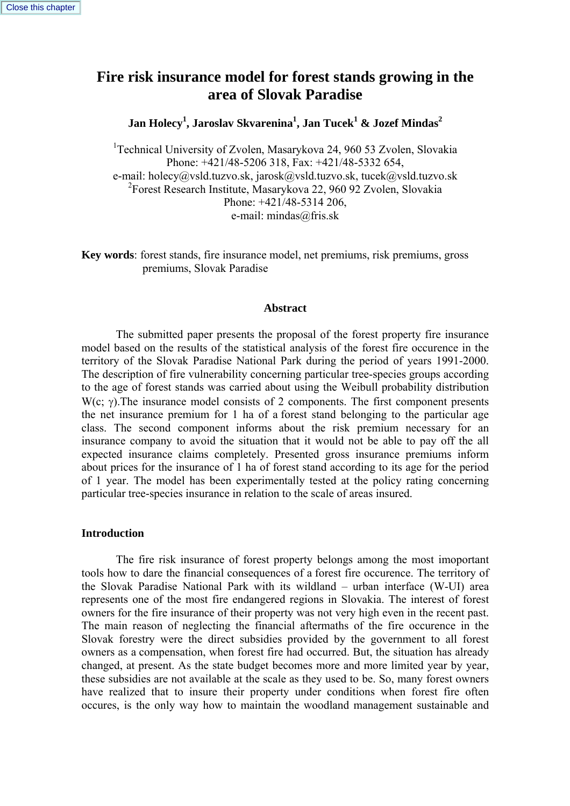# **Fire risk insurance model for forest stands growing in the area of Slovak Paradise**

**Jan Holecy1 , Jaroslav Skvarenina1 , Jan Tucek<sup>1</sup> & Jozef Mindas<sup>2</sup>**

<sup>1</sup>Technical University of Zvolen, Masarykova 24, 960 53 Zvolen, Slovakia Phone: +421/48-5206 318, Fax: +421/48-5332 654, e-mail: holecy@vsld.tuzvo.sk, jarosk@vsld.tuzvo.sk, tucek@vsld.tuzvo.sk 2 Forest Research Institute, Masarykova 22, 960 92 Zvolen, Slovakia Phone: +421/48-5314 206, e-mail: mindas@fris.sk

**Key words**: forest stands, fire insurance model, net premiums, risk premiums, gross premiums, Slovak Paradise

#### **Abstract**

The submitted paper presents the proposal of the forest property fire insurance model based on the results of the statistical analysis of the forest fire occurence in the territory of the Slovak Paradise National Park during the period of years 1991-2000. The description of fire vulnerability concerning particular tree-species groups according to the age of forest stands was carried about using the Weibull probability distribution W(c; γ). The insurance model consists of 2 components. The first component presents the net insurance premium for 1 ha of a forest stand belonging to the particular age class. The second component informs about the risk premium necessary for an insurance company to avoid the situation that it would not be able to pay off the all expected insurance claims completely. Presented gross insurance premiums inform about prices for the insurance of 1 ha of forest stand according to its age for the period of 1 year. The model has been experimentally tested at the policy rating concerning particular tree-species insurance in relation to the scale of areas insured.

#### **Introduction**

The fire risk insurance of forest property belongs among the most imoportant tools how to dare the financial consequences of a forest fire occurence. The territory of the Slovak Paradise National Park with its wildland – urban interface (W-UI) area represents one of the most fire endangered regions in Slovakia. The interest of forest owners for the fire insurance of their property was not very high even in the recent past. The main reason of neglecting the financial aftermaths of the fire occurence in the Slovak forestry were the direct subsidies provided by the government to all forest owners as a compensation, when forest fire had occurred. But, the situation has already changed, at present. As the state budget becomes more and more limited year by year, these subsidies are not available at the scale as they used to be. So, many forest owners have realized that to insure their property under conditions when forest fire often occures, is the only way how to maintain the woodland management sustainable and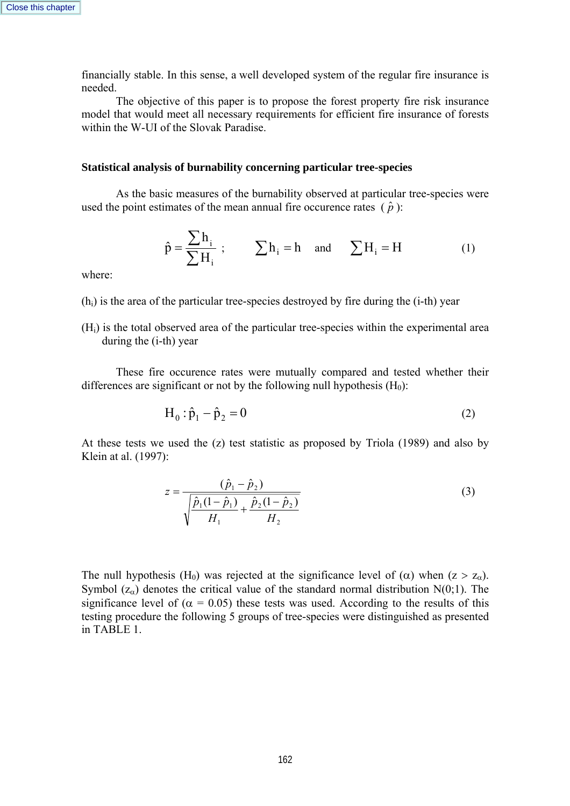financially stable. In this sense, a well developed system of the regular fire insurance is needed.

 The objective of this paper is to propose the forest property fire risk insurance model that would meet all necessary requirements for efficient fire insurance of forests within the W-UI of the Slovak Paradise.

#### **Statistical analysis of burnability concerning particular tree-species**

 As the basic measures of the burnability observed at particular tree-species were used the point estimates of the mean annual fire occurence rates  $(\hat{p})$ :

$$
\hat{p} = \frac{\sum h_i}{\sum H_i} ; \qquad \sum h_i = h \quad \text{and} \qquad \sum H_i = H \tag{1}
$$

where:

 $(h<sub>i</sub>)$  is the area of the particular tree-species destroyed by fire during the  $(i-th)$  year

(Hi) is the total observed area of the particular tree-species within the experimental area during the (i-th) year

 These fire occurence rates were mutually compared and tested whether their differences are significant or not by the following null hypothesis  $(H_0)$ :

$$
H_0: \hat{p}_1 - \hat{p}_2 = 0
$$
 (2)

At these tests we used the (z) test statistic as proposed by Triola (1989) and also by Klein at al. (1997):

$$
z = \frac{(\hat{p}_1 - \hat{p}_2)}{\sqrt{\frac{\hat{p}_1(1 - \hat{p}_1)}{H_1} + \frac{\hat{p}_2(1 - \hat{p}_2)}{H_2}}}
$$
(3)

The null hypothesis (H<sub>0</sub>) was rejected at the significance level of ( $\alpha$ ) when (z > z<sub>a</sub>). Symbol  $(z_\alpha)$  denotes the critical value of the standard normal distribution N(0;1). The significance level of ( $\alpha$  = 0.05) these tests was used. According to the results of this testing procedure the following 5 groups of tree-species were distinguished as presented in TABLE 1.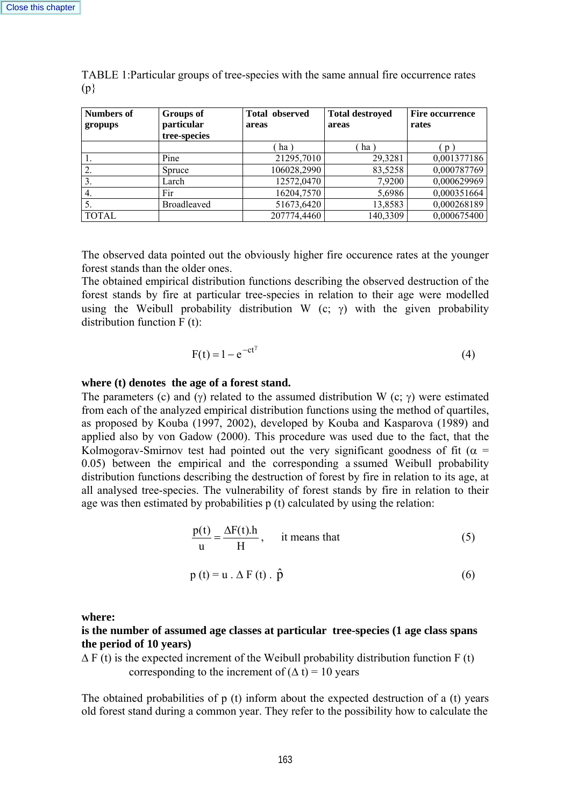|     | $N_{\text{unhowof}}$ $\ell$ $N_{\text{uowof}}$ | $\Gamma_{\text{total}}$ absented $\Gamma_{\text{total}}$ destroyed $\Gamma_{\text{true}}$ commence |  |
|-----|------------------------------------------------|----------------------------------------------------------------------------------------------------|--|
| (p) |                                                |                                                                                                    |  |
|     |                                                |                                                                                                    |  |

TABLE 1:Particular groups of tree-species with the same annual fire occurrence rates

| <b>Numbers of</b><br>gropups | Groups of<br>particular<br>tree-species | <b>Total observed</b><br>areas | <b>Total destroyed</b><br>areas | <b>Fire occurrence</b><br>rates |
|------------------------------|-----------------------------------------|--------------------------------|---------------------------------|---------------------------------|
|                              |                                         | ha                             | ha                              |                                 |
|                              | Pine                                    | 21295,7010                     | 29,3281                         | 0,001377186                     |
| 2.                           | Spruce                                  | 106028,2990                    | 83,5258                         | 0,000787769                     |
| 3.                           | Larch                                   | 12572,0470                     | 7,9200                          | 0,000629969                     |
| 4.                           | Fir                                     | 16204,7570                     | 5,6986                          | 0,000351664                     |
|                              | <b>Broadleaved</b>                      | 51673,6420                     | 13,8583                         | 0,000268189                     |
| <b>TOTAL</b>                 |                                         | 207774,4460                    | 140,3309                        | 0,000675400                     |

The observed data pointed out the obviously higher fire occurence rates at the younger forest stands than the older ones.

The obtained empirical distribution functions describing the observed destruction of the forest stands by fire at particular tree-species in relation to their age were modelled using the Weibull probability distribution W (c;  $\gamma$ ) with the given probability distribution function F (t):

$$
F(t) = 1 - e^{-ct^{\gamma}}
$$
 (4)

# **where (t) denotes the age of a forest stand.**

The parameters (c) and (γ) related to the assumed distribution W (c; γ) were estimated from each of the analyzed empirical distribution functions using the method of quartiles, as proposed by Kouba (1997, 2002), developed by Kouba and Kasparova (1989) and applied also by von Gadow (2000). This procedure was used due to the fact, that the Kolmogorav-Smirnov test had pointed out the very significant goodness of fit ( $\alpha$  = 0.05) between the empirical and the corresponding a ssumed Weibull probability distribution functions describing the destruction of forest by fire in relation to its age, at all analysed tree-species. The vulnerability of forest stands by fire in relation to their age was then estimated by probabilities p (t) calculated by using the relation:

$$
\frac{p(t)}{u} = \frac{\Delta F(t) \cdot h}{H}, \quad \text{it means that} \tag{5}
$$

$$
p(t) = u \cdot \Delta F(t) \cdot \hat{p}
$$
 (6)

**where:** 

## **is the number of assumed age classes at particular tree-species (1 age class spans the period of 10 years)**

 $\Delta F$  (t) is the expected increment of the Weibull probability distribution function F (t) corresponding to the increment of  $(∆ t) = 10$  years

The obtained probabilities of p (t) inform about the expected destruction of a (t) years old forest stand during a common year. They refer to the possibility how to calculate the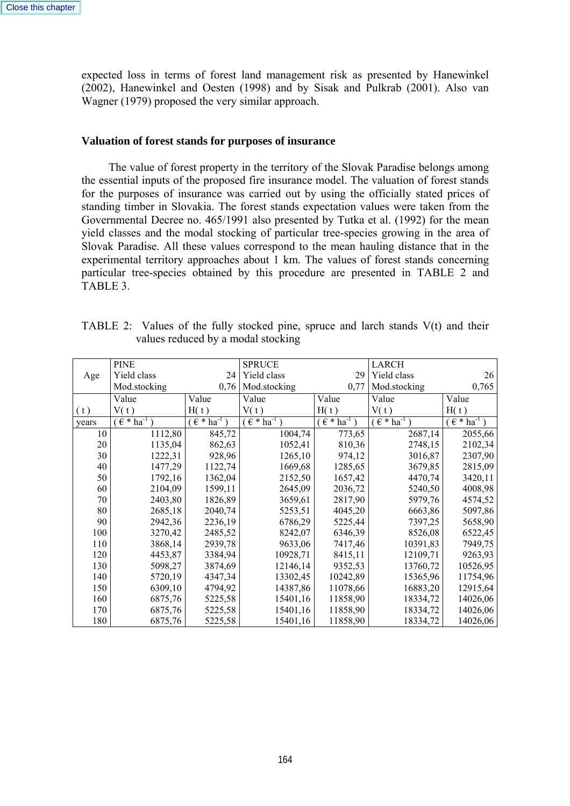expected loss in terms of forest land management risk as presented by Hanewinkel (2002), Hanewinkel and Oesten (1998) and by Sisak and Pulkrab (2001). Also van Wagner (1979) proposed the very similar approach.

#### **Valuation of forest stands for purposes of insurance**

 The value of forest property in the territory of the Slovak Paradise belongs among the essential inputs of the proposed fire insurance model. The valuation of forest stands for the purposes of insurance was carried out by using the officially stated prices of standing timber in Slovakia. The forest stands expectation values were taken from the Governmental Decree no. 465/1991 also presented by Tutka et al. (1992) for the mean yield classes and the modal stocking of particular tree-species growing in the area of Slovak Paradise. All these values correspond to the mean hauling distance that in the experimental territory approaches about 1 km. The values of forest stands concerning particular tree-species obtained by this procedure are presented in TABLE 2 and TABLE 3.

|       | <b>PINE</b>                  |                           | <b>SPRUCE</b>                 |                               | <b>LARCH</b>                  |                        |
|-------|------------------------------|---------------------------|-------------------------------|-------------------------------|-------------------------------|------------------------|
| Age   | Yield class                  | 24                        | Yield class                   | 29                            | Yield class                   | 26                     |
|       | Mod.stocking                 | 0,76                      | Mod.stocking                  | 0,77                          | Mod.stocking                  | 0,765                  |
|       | Value                        | Value                     | Value                         | Value                         | Value                         | Value                  |
| (t)   | V(t)                         | H(t)                      | V(t)                          | H(t)                          | V(t)                          | H(t)                   |
| years | $( \in \ast \text{ ha}^{-1}$ | $ha^{-1}$<br>$\epsilon^*$ | $\epsilon$ * ha <sup>-1</sup> | $\epsilon$ * ha <sup>-1</sup> | $\epsilon$ * ha <sup>-1</sup> | $(\epsilon * ha^{-1})$ |
| 10    | 1112,80                      | 845,72                    | 1004,74                       | 773,65                        | 2687,14                       | 2055,66                |
| 20    | 1135,04                      | 862,63                    | 1052,41                       | 810,36                        | 2748,15                       | 2102,34                |
| 30    | 1222,31                      | 928,96                    | 1265,10                       | 974,12                        | 3016,87                       | 2307,90                |
| 40    | 1477,29                      | 1122,74                   | 1669,68                       | 1285,65                       | 3679,85                       | 2815,09                |
| 50    | 1792,16                      | 1362,04                   | 2152,50                       | 1657,42                       | 4470,74                       | 3420,11                |
| 60    | 2104,09                      | 1599,11                   | 2645,09                       | 2036,72                       | 5240,50                       | 4008,98                |
| 70    | 2403,80                      | 1826,89                   | 3659,61                       | 2817,90                       | 5979,76                       | 4574,52                |
| 80    | 2685,18                      | 2040,74                   | 5253,51                       | 4045,20                       | 6663,86                       | 5097,86                |
| 90    | 2942,36                      | 2236,19                   | 6786,29                       | 5225,44                       | 7397,25                       | 5658,90                |
| 100   | 3270,42                      | 2485,52                   | 8242,07                       | 6346,39                       | 8526,08                       | 6522,45                |
| 110   | 3868,14                      | 2939,78                   | 9633,06                       | 7417,46                       | 10391,83                      | 7949,75                |
| 120   | 4453,87                      | 3384,94                   | 10928,71                      | 8415,11                       | 12109,71                      | 9263,93                |
| 130   | 5098,27                      | 3874,69                   | 12146,14                      | 9352,53                       | 13760,72                      | 10526,95               |
| 140   | 5720,19                      | 4347,34                   | 13302,45                      | 10242,89                      | 15365,96                      | 11754,96               |
| 150   | 6309,10                      | 4794,92                   | 14387,86                      | 11078,66                      | 16883,20                      | 12915,64               |
| 160   | 6875,76                      | 5225,58                   | 15401,16                      | 11858,90                      | 18334,72                      | 14026,06               |
| 170   | 6875,76                      | 5225,58                   | 15401,16                      | 11858,90                      | 18334,72                      | 14026,06               |
| 180   | 6875,76                      | 5225,58                   | 15401,16                      | 11858,90                      | 18334,72                      | 14026,06               |

| TABLE 2: Values of the fully stocked pine, spruce and larch stands $V(t)$ and their |                                    |  |  |  |  |  |  |
|-------------------------------------------------------------------------------------|------------------------------------|--|--|--|--|--|--|
|                                                                                     | values reduced by a modal stocking |  |  |  |  |  |  |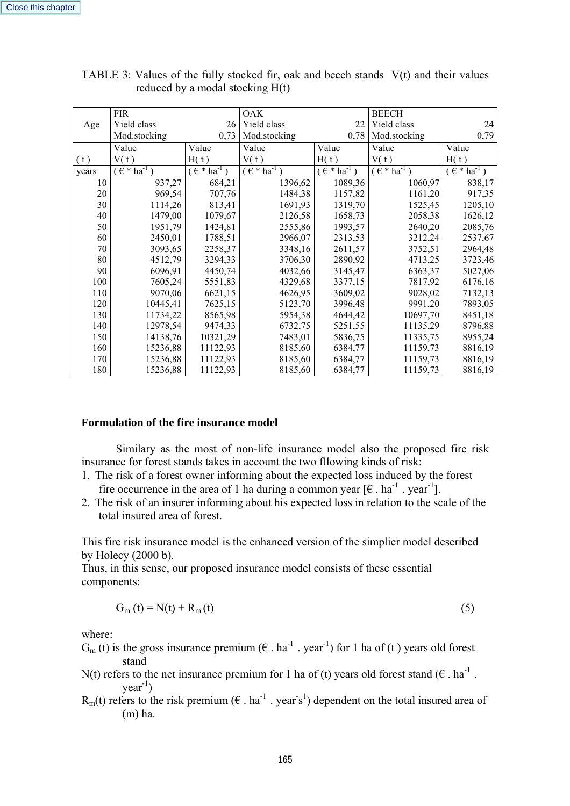|       | <b>FIR</b>                |                      | <b>OAK</b>            |                    | <b>BEECH</b>                  |                           |
|-------|---------------------------|----------------------|-----------------------|--------------------|-------------------------------|---------------------------|
| Age   | Yield class               | 26                   | Yield class           | 22                 | Yield class                   | 24                        |
|       | Mod.stocking              | 0,73                 | Mod.stocking          | 0,78               | Mod.stocking                  | 0,79                      |
|       | Value                     | Value                | Value                 | Value              | Value                         | Value                     |
| (t)   | V(t)                      | H(t)                 | V(t)                  | H(t)               | V(t)                          | H(t)                      |
| vears | $ha^{-1}$<br>$\epsilon *$ | $\epsilon * ha^{-1}$ | $\epsilon * h a^{-1}$ | $(\epsilon * ha^T$ | $\epsilon$ * ha <sup>-1</sup> | $ha^{-1}$<br>$\epsilon *$ |
| 10    | 937,27                    | 684,21               | 1396,62               | 1089,36            | 1060,97                       | 838,17                    |
| 20    | 969,54                    | 707,76               | 1484,38               | 1157,82            | 1161,20                       | 917,35                    |
| 30    | 1114,26                   | 813,41               | 1691,93               | 1319,70            | 1525,45                       | 1205,10                   |
| 40    | 1479,00                   | 1079,67              | 2126,58               | 1658,73            | 2058,38                       | 1626,12                   |
| 50    | 1951,79                   | 1424,81              | 2555,86               | 1993,57            | 2640,20                       | 2085,76                   |
| 60    | 2450,01                   | 1788,51              | 2966,07               | 2313,53            | 3212,24                       | 2537,67                   |
| 70    | 3093,65                   | 2258,37              | 3348,16               | 2611,57            | 3752,51                       | 2964,48                   |
| 80    | 4512,79                   | 3294,33              | 3706,30               | 2890,92            | 4713,25                       | 3723,46                   |
| 90    | 6096,91                   | 4450,74              | 4032,66               | 3145,47            | 6363,37                       | 5027,06                   |
| 100   | 7605,24                   | 5551,83              | 4329,68               | 3377,15            | 7817,92                       | 6176,16                   |
| 110   | 9070,06                   | 6621,15              | 4626,95               | 3609,02            | 9028,02                       | 7132,13                   |
| 120   | 10445,41                  | 7625,15              | 5123,70               | 3996,48            | 9991,20                       | 7893,05                   |
| 130   | 11734,22                  | 8565,98              | 5954,38               | 4644,42            | 10697,70                      | 8451,18                   |
| 140   | 12978,54                  | 9474,33              | 6732,75               | 5251,55            | 11135,29                      | 8796,88                   |
| 150   | 14138,76                  | 10321,29             | 7483,01               | 5836,75            | 11335,75                      | 8955,24                   |
| 160   | 15236,88                  | 11122,93             | 8185,60               | 6384,77            | 11159,73                      | 8816,19                   |
| 170   | 15236,88                  | 11122,93             | 8185,60               | 6384,77            | 11159,73                      | 8816,19                   |
| 180   | 15236,88                  | 11122,93             | 8185,60               | 6384,77            | 11159,73                      | 8816,19                   |

TABLE 3: Values of the fully stocked fir, oak and beech stands V(t) and their values reduced by a modal stocking H(t)

#### **Formulation of the fire insurance model**

 Similary as the most of non-life insurance model also the proposed fire risk insurance for forest stands takes in account the two fllowing kinds of risk:

- 1. The risk of a forest owner informing about the expected loss induced by the forest fire occurrence in the area of 1 ha during a common year  $[\mathcal{E}$ . ha<sup>-1</sup>. year<sup>-1</sup>].
- 2. The risk of an insurer informing about his expected loss in relation to the scale of the total insured area of forest.

This fire risk insurance model is the enhanced version of the simplier model described by Holecy (2000 b).

Thus, in this sense, our proposed insurance model consists of these essential components:

$$
G_m(t) = N(t) + R_m(t) \tag{5}
$$

where:

- $G_m(t)$  is the gross insurance premium ( $\epsilon$  . ha<sup>-1</sup> . year<sup>-1</sup>) for 1 ha of (t) years old forest stand
- N(t) refers to the net insurance premium for 1 ha of (t) years old forest stand ( $\epsilon$  . ha<sup>-1</sup>.  $year^{-1}$ )
- $R_m(t)$  refers to the risk premium ( $\epsilon$  . ha<sup>-1</sup> . year s<sup>1</sup>) dependent on the total insured area of (m) ha.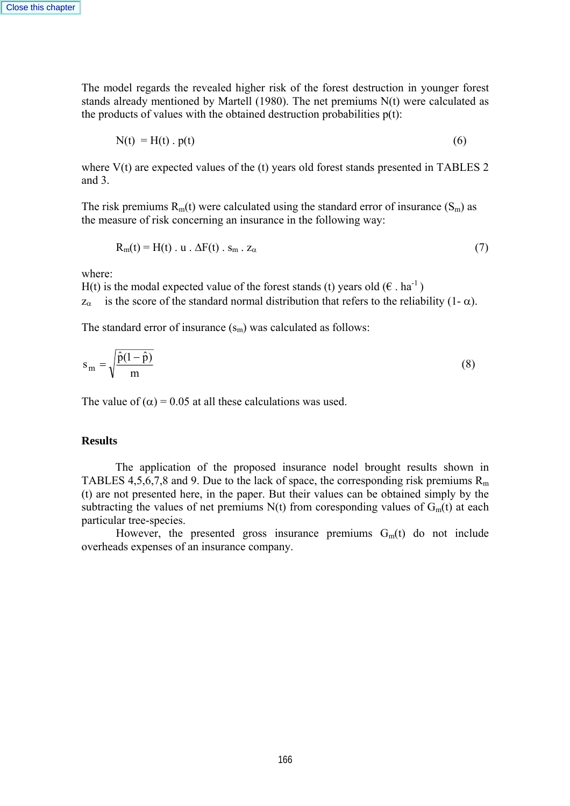The model regards the revealed higher risk of the forest destruction in younger forest stands already mentioned by Martell (1980). The net premiums N(t) were calculated as the products of values with the obtained destruction probabilities  $p(t)$ :

 $N(t) = H(t) \cdot p(t)$  (6)

where V(t) are expected values of the (t) years old forest stands presented in TABLES 2 and 3.

The risk premiums  $R_m(t)$  were calculated using the standard error of insurance  $(S_m)$  as the measure of risk concerning an insurance in the following way:

$$
R_m(t) = H(t) \cdot u \cdot \Delta F(t) \cdot s_m \cdot z_\alpha \tag{7}
$$

where:

H(t) is the modal expected value of the forest stands (t) years old  $(\epsilon \cdot ha^{-1})$  $z_{\alpha}$  is the score of the standard normal distribution that refers to the reliability (1- $\alpha$ ).

The standard error of insurance  $(s_m)$  was calculated as follows:

$$
s_m = \sqrt{\frac{\hat{p}(1-\hat{p})}{m}}
$$
 (8)

The value of  $(\alpha) = 0.05$  at all these calculations was used.

#### **Results**

The application of the proposed insurance nodel brought results shown in TABLES 4,5,6,7,8 and 9. Due to the lack of space, the corresponding risk premiums  $R_m$ (t) are not presented here, in the paper. But their values can be obtained simply by the subtracting the values of net premiums  $N(t)$  from coresponding values of  $G<sub>m</sub>(t)$  at each particular tree-species.

However, the presented gross insurance premiums  $G<sub>m</sub>(t)$  do not include overheads expenses of an insurance company.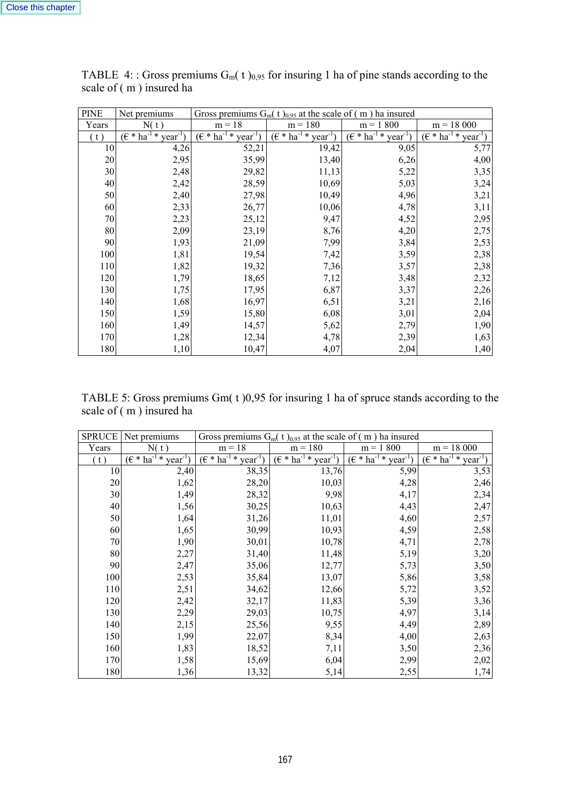| <b>PINE</b> | Net premiums                      | Gross premiums $G_m(t)_{0.95}$ at the scale of (m) ha insured |                                                 |                                                        |                                                                   |  |  |
|-------------|-----------------------------------|---------------------------------------------------------------|-------------------------------------------------|--------------------------------------------------------|-------------------------------------------------------------------|--|--|
| Years       | N(t)                              | $m = 18$                                                      | $m = 180$                                       | $m = 1,800$                                            | $m = 18000$                                                       |  |  |
| (t)         | $(\epsilon * ha^{-1}$<br>$year-1$ | $(\epsilon \ast \text{ha}^{-1} \ast$<br>$year-1$              | $(\epsilon * \overline{ha^{-1} *})$<br>$year-1$ | $(\epsilon * \overline{\text{ha}^{-1} *})$<br>$year-1$ | $(\epsilon * \overline{\mathbf{ha}^{\text{-}1*}})$<br>$year^{-1}$ |  |  |
| 10          | 4,26                              | 52,21                                                         | 19,42                                           | 9,05                                                   | 5,77                                                              |  |  |
| 20          | 2,95                              | 35,99                                                         | 13,40                                           | 6,26                                                   | 4,00                                                              |  |  |
| 30          | 2,48                              | 29,82                                                         | 11,13                                           | 5,22                                                   | 3,35                                                              |  |  |
| 40          | 2,42                              | 28,59                                                         | 10,69                                           | 5,03                                                   | 3,24                                                              |  |  |
| 50          | 2,40                              | 27,98                                                         | 10,49                                           | 4,96                                                   | 3,21                                                              |  |  |
| 60          | 2,33                              | 26,77                                                         | 10,06                                           | 4,78                                                   | 3,11                                                              |  |  |
| 70          | 2,23                              | 25,12                                                         | 9,47                                            | 4,52                                                   | 2,95                                                              |  |  |
| 80          | 2,09                              | 23,19                                                         | 8,76                                            | 4,20                                                   | 2,75                                                              |  |  |
| 90          | 1,93                              | 21,09                                                         | 7,99                                            | 3,84                                                   | 2,53                                                              |  |  |
| 100         | 1,81                              | 19,54                                                         | 7,42                                            | 3,59                                                   | 2,38                                                              |  |  |
| 110         | 1,82                              | 19,32                                                         | 7,36                                            | 3,57                                                   | 2,38                                                              |  |  |
| 120         | 1,79                              | 18,65                                                         | 7,12                                            | 3,48                                                   | 2,32                                                              |  |  |
| 130         | 1,75                              | 17,95                                                         | 6,87                                            | 3,37                                                   | 2,26                                                              |  |  |
| 140         | 1,68                              | 16,97                                                         | 6,51                                            | 3,21                                                   | 2,16                                                              |  |  |
| 150         | 1,59                              | 15,80                                                         | 6,08                                            | 3,01                                                   | 2,04                                                              |  |  |
| 160         | 1,49                              | 14,57                                                         | 5,62                                            | 2,79                                                   | 1,90                                                              |  |  |
| 170         | 1,28                              | 12,34                                                         | 4,78                                            | 2,39                                                   | 1,63                                                              |  |  |
| 180         | 1,10                              | 10,47                                                         | 4,07                                            | 2,04                                                   | 1,40                                                              |  |  |

TABLE 4: : Gross premiums  $G_m(t)_{0.95}$  for insuring 1 ha of pine stands according to the scale of ( m ) insured ha

TABLE 5: Gross premiums Gm( t )0,95 for insuring 1 ha of spruce stands according to the scale of ( m ) insured ha

| <b>SPRUCE</b> | Net premiums                                 | Gross premiums $G_m(t)_{0.95}$ at the scale of (m) ha insured |                                       |                                     |                                        |  |  |
|---------------|----------------------------------------------|---------------------------------------------------------------|---------------------------------------|-------------------------------------|----------------------------------------|--|--|
| Years         | N(t)                                         | $m = 18$                                                      | $m = 180$                             | $m = 1,800$                         | $m = 18000$                            |  |  |
| (t)           | $(\epsilon * ha^{-1} *$<br>year <sup>1</sup> | $(\epsilon * ha^{-1} *$<br>$year^{-1}$                        | $\epsilon$ * ha $^{-1}$ *<br>$year-1$ | $(\epsilon * ha^{-1} *$<br>$year-1$ | $(\epsilon * ha^{-1} *$<br>$year^{-1}$ |  |  |
| 10            | 2,40                                         | 38,35                                                         | 13,76                                 | 5,99                                | 3,53                                   |  |  |
| 20            | 1,62                                         | 28,20                                                         | 10,03                                 | 4,28                                | 2,46                                   |  |  |
| 30            | 1,49                                         | 28,32                                                         | 9,98                                  | 4,17                                | 2,34                                   |  |  |
| 40            | 1,56                                         | 30,25                                                         | 10,63                                 | 4,43                                | 2,47                                   |  |  |
| 50            | 1,64                                         | 31,26                                                         | 11,01                                 | 4,60                                | 2,57                                   |  |  |
| 60            | 1,65                                         | 30,99                                                         | 10,93                                 | 4,59                                | 2,58                                   |  |  |
| 70            | 1,90                                         | 30,01                                                         | 10,78                                 | 4,71                                | 2,78                                   |  |  |
| 80            | 2,27                                         | 31,40                                                         | 11,48                                 | 5,19                                | 3,20                                   |  |  |
| 90            | 2,47                                         | 35,06                                                         | 12,77                                 | 5,73                                | 3,50                                   |  |  |
| 100           | 2,53                                         | 35,84                                                         | 13,07                                 | 5,86                                | 3,58                                   |  |  |
| 110           | 2,51                                         | 34,62                                                         | 12,66                                 | 5,72                                | 3,52                                   |  |  |
| 120           | 2,42                                         | 32,17                                                         | 11,83                                 | 5,39                                | 3,36                                   |  |  |
| 130           | 2,29                                         | 29,03                                                         | 10,75                                 | 4,97                                | 3,14                                   |  |  |
| 140           | 2,15                                         | 25,56                                                         | 9,55                                  | 4,49                                | 2,89                                   |  |  |
| 150           | 1,99                                         | 22,07                                                         | 8,34                                  | 4,00                                | 2,63                                   |  |  |
| 160           | 1,83                                         | 18,52                                                         | 7,11                                  | 3,50                                | 2,36                                   |  |  |
| 170           | 1,58                                         | 15,69                                                         | 6,04                                  | 2,99                                | 2,02                                   |  |  |
| 180           | 1,36                                         | 13,32                                                         | 5,14                                  | 2,55                                | 1,74                                   |  |  |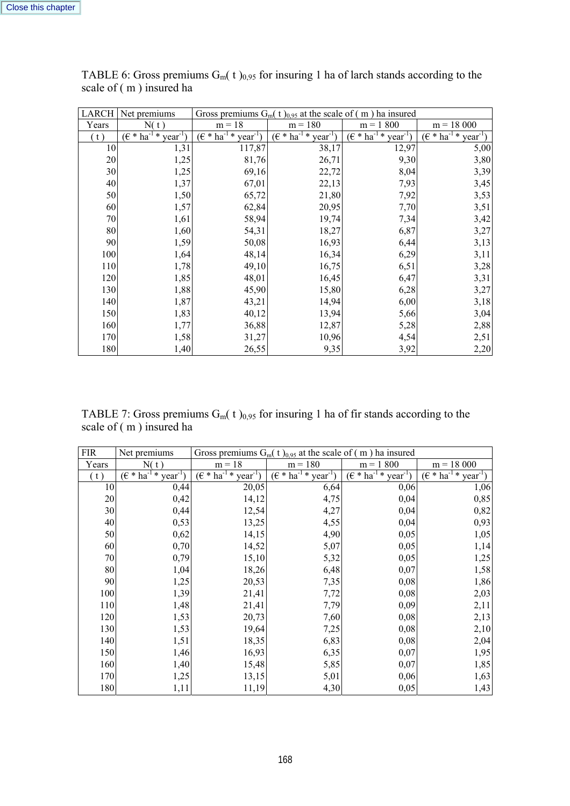| LARCH | Net premiums                           | Gross premiums $G_m(t)_{0.95}$ at the scale of (m) ha insured |                                               |                                               |                                        |  |  |
|-------|----------------------------------------|---------------------------------------------------------------|-----------------------------------------------|-----------------------------------------------|----------------------------------------|--|--|
| Years | N(t)                                   | $m = 18$                                                      | $m = 180$                                     | $m = 1,800$                                   | $m = 18000$                            |  |  |
| (t)   | $(\epsilon * ha^{-1} *$<br>$year^{-1}$ | $(\epsilon * ha^{-1} *$<br>$year^{-1}$                        | $(\epsilon * ha^{-1} *$<br>year <sup>-1</sup> | $\overline{(\epsilon * ha^{-1} * year^{-1})}$ | $(\epsilon * ha^{-1} *$<br>$year^{-1}$ |  |  |
| 10    | 1,31                                   | 117,87                                                        | 38,17                                         | 12,97                                         | 5,00                                   |  |  |
| 20    | 1,25                                   | 81,76                                                         | 26,71                                         | 9,30                                          | 3,80                                   |  |  |
| 30    | 1,25                                   | 69,16                                                         | 22,72                                         | 8,04                                          | 3,39                                   |  |  |
| 40    | 1,37                                   | 67,01                                                         | 22,13                                         | 7,93                                          | 3,45                                   |  |  |
| 50    | 1,50                                   | 65,72                                                         | 21,80                                         | 7,92                                          | 3,53                                   |  |  |
| 60    | 1,57                                   | 62,84                                                         | 20,95                                         | 7,70                                          | 3,51                                   |  |  |
| 70    | 1,61                                   | 58,94                                                         | 19,74                                         | 7,34                                          | 3,42                                   |  |  |
| 80    | 1,60                                   | 54,31                                                         | 18,27                                         | 6,87                                          | 3,27                                   |  |  |
| 90    | 1,59                                   | 50,08                                                         | 16,93                                         | 6,44                                          | 3,13                                   |  |  |
| 100   | 1,64                                   | 48,14                                                         | 16,34                                         | 6,29                                          | 3,11                                   |  |  |
| 110   | 1,78                                   | 49,10                                                         | 16,75                                         | 6,51                                          | 3,28                                   |  |  |
| 120   | 1,85                                   | 48,01                                                         | 16,45                                         | 6,47                                          | 3,31                                   |  |  |
| 130   | 1,88                                   | 45,90                                                         | 15,80                                         | 6,28                                          | 3,27                                   |  |  |
| 140   | 1,87                                   | 43,21                                                         | 14,94                                         | 6,00                                          | 3,18                                   |  |  |
| 150   | 1,83                                   | 40,12                                                         | 13,94                                         | 5,66                                          | 3,04                                   |  |  |
| 160   | 1,77                                   | 36,88                                                         | 12,87                                         | 5,28                                          | 2,88                                   |  |  |
| 170   | 1,58                                   | 31,27                                                         | 10,96                                         | 4,54                                          | 2,51                                   |  |  |
| 180   | 1,40                                   | 26,55                                                         | 9,35                                          | 3,92                                          | 2,20                                   |  |  |

TABLE 6: Gross premiums  $G_m(t)_{0.95}$  for insuring 1 ha of larch stands according to the scale of ( m ) insured ha

TABLE 7: Gross premiums  $G_m(t)_{0.95}$  for insuring 1 ha of fir stands according to the scale of ( m ) insured ha

| <b>FIR</b> | Net premiums                        |                                          | Gross premiums $G_m(t)_{0.95}$ at the scale of (m) ha insured |                                               |                                     |  |  |
|------------|-------------------------------------|------------------------------------------|---------------------------------------------------------------|-----------------------------------------------|-------------------------------------|--|--|
| Years      | N(t)                                | $m = 18$                                 | $m = 180$                                                     | $m = 1,800$                                   | $m = 18000$                         |  |  |
| (t)        | $(\epsilon * ha^{-1} *$<br>$year-1$ | $(\epsilon * ha^{-1} *$<br>$year^{-1}$ ) | $(\epsilon * ha^{-1} *$<br>year <sup>-1</sup>                 | $(\epsilon * ha^{-1} *$<br>year <sup>-1</sup> | $(\epsilon * ha^{-1} *$<br>$year-1$ |  |  |
| 10         | 0,44                                | 20,05                                    | 6,64                                                          | 0,06                                          | 1,06                                |  |  |
| 20         | 0,42                                | 14,12                                    | 4,75                                                          | 0,04                                          | 0,85                                |  |  |
| 30         | 0,44                                | 12,54                                    | 4,27                                                          | 0,04                                          | 0,82                                |  |  |
| 40         | 0,53                                | 13,25                                    | 4,55                                                          | 0,04                                          | 0,93                                |  |  |
| 50         | 0,62                                | 14,15                                    | 4,90                                                          | 0,05                                          | 1,05                                |  |  |
| 60         | 0,70                                | 14,52                                    | 5,07                                                          | 0,05                                          | 1,14                                |  |  |
| 70         | 0,79                                | 15,10                                    | 5,32                                                          | 0,05                                          | 1,25                                |  |  |
| 80         | 1,04                                | 18,26                                    | 6,48                                                          | 0,07                                          | 1,58                                |  |  |
| 90         | 1,25                                | 20,53                                    | 7,35                                                          | 0,08                                          | 1,86                                |  |  |
| 100        | 1,39                                | 21,41                                    | 7,72                                                          | 0,08                                          | 2,03                                |  |  |
| 110        | 1,48                                | 21,41                                    | 7,79                                                          | 0,09                                          | 2,11                                |  |  |
| 120        | 1,53                                | 20,73                                    | 7,60                                                          | 0,08                                          | 2,13                                |  |  |
| 130        | 1,53                                | 19,64                                    | 7,25                                                          | 0,08                                          | 2,10                                |  |  |
| 140        | 1,51                                | 18,35                                    | 6,83                                                          | 0,08                                          | 2,04                                |  |  |
| 150        | 1,46                                | 16,93                                    | 6,35                                                          | 0,07                                          | 1,95                                |  |  |
| 160        | 1,40                                | 15,48                                    | 5,85                                                          | 0,07                                          | 1,85                                |  |  |
| 170        | 1,25                                | 13,15                                    | 5,01                                                          | 0,06                                          | 1,63                                |  |  |
| 180        | 1,11                                | 11,19                                    | 4,30                                                          | 0,05                                          | 1,43                                |  |  |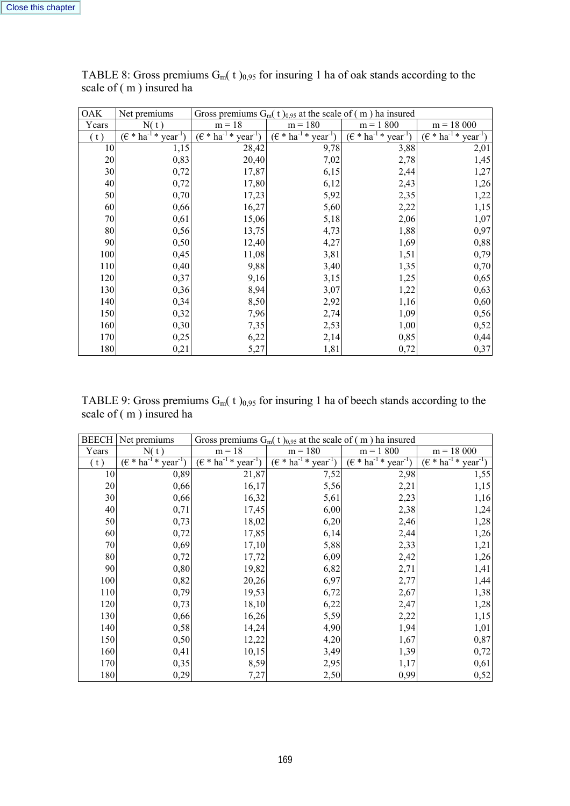| <b>OAK</b> | Net premiums                        | Gross premiums $G_m(t)_{0.95}$ at the scale of (m) ha insured |                                     |                                    |                                     |  |  |
|------------|-------------------------------------|---------------------------------------------------------------|-------------------------------------|------------------------------------|-------------------------------------|--|--|
| Years      | N(t)                                | $m = 18$                                                      | $m = 180$                           | $m = 1,800$                        | $m = 18000$                         |  |  |
| (t)        | $(\epsilon * ha^{-1} *$<br>$year-1$ | $(\epsilon * ha^{-1} *$<br>$year^{-1}$ )                      | $(\epsilon * ha^{-1} *$<br>$year-1$ | $(\epsilon * ha^{-1} * year^{-1})$ | $(\epsilon * ha^{-1} *$<br>$year-1$ |  |  |
| 10         | 1,15                                | 28,42                                                         | 9,78                                | 3,88                               | 2,01                                |  |  |
| 20         | 0,83                                | 20,40                                                         | 7,02                                | 2,78                               | 1,45                                |  |  |
| 30         | 0,72                                | 17,87                                                         | 6,15                                | 2,44                               | 1,27                                |  |  |
| 40         | 0,72                                | 17,80                                                         | 6,12                                | 2,43                               | 1,26                                |  |  |
| 50         | 0,70                                | 17,23                                                         | 5,92                                | 2,35                               | 1,22                                |  |  |
| 60         | 0,66                                | 16,27                                                         | 5,60                                | 2,22                               | 1,15                                |  |  |
| 70         | 0,61                                | 15,06                                                         | 5,18                                | 2,06                               | 1,07                                |  |  |
| 80         | 0,56                                | 13,75                                                         | 4,73                                | 1,88                               | 0,97                                |  |  |
| 90         | 0,50                                | 12,40                                                         | 4,27                                | 1,69                               | 0,88                                |  |  |
| 100        | 0,45                                | 11,08                                                         | 3,81                                | 1,51                               | 0,79                                |  |  |
| 110        | 0,40                                | 9,88                                                          | 3,40                                | 1,35                               | 0,70                                |  |  |
| 120        | 0,37                                | 9,16                                                          | 3,15                                | 1,25                               | 0,65                                |  |  |
| 130        | 0,36                                | 8,94                                                          | 3,07                                | 1,22                               | 0,63                                |  |  |
| 140        | 0,34                                | 8,50                                                          | 2,92                                | 1,16                               | 0,60                                |  |  |
| 150        | 0,32                                | 7,96                                                          | 2,74                                | 1,09                               | 0,56                                |  |  |
| 160        | 0,30                                | 7,35                                                          | 2,53                                | 1,00                               | 0,52                                |  |  |
| 170        | 0,25                                | 6,22                                                          | 2,14                                | 0,85                               | 0,44                                |  |  |
| 180        | 0,21                                | 5,27                                                          | 1,81                                | 0,72                               | 0,37                                |  |  |

TABLE 8: Gross premiums  $G_m(t)_{0.95}$  for insuring 1 ha of oak stands according to the scale of ( m ) insured ha

TABLE 9: Gross premiums  $G_m(t)_{0,95}$  for insuring 1 ha of beech stands according to the scale of ( m ) insured ha

| <b>BEECH</b> | Net premiums                        | Gross premiums $G_m(t)_{0.95}$ at the scale of (m) ha insured |                              |                                        |                                              |  |  |
|--------------|-------------------------------------|---------------------------------------------------------------|------------------------------|----------------------------------------|----------------------------------------------|--|--|
| Years        | N(t)                                | $m = 18$                                                      | $m = 180$                    | $m = 1,800$                            | $m = 18000$                                  |  |  |
| (t)          | $(\epsilon * ha^{-1} *$<br>$year-1$ | $(\epsilon * ha^{-1} *$<br>$year-1$                           | $(E * ha^{-1} *$<br>$year-1$ | $(\epsilon * ha^{-1} *$<br>$year^{-1}$ | $(\epsilon * ha^{-1} *$<br>year <sup>1</sup> |  |  |
| 10           | 0,89                                | 21,87                                                         | 7,52                         | 2,98                                   | 1,55                                         |  |  |
| 20           | 0,66                                | 16,17                                                         | 5,56                         | 2,21                                   | 1,15                                         |  |  |
| 30           | 0,66                                | 16,32                                                         | 5,61                         | 2,23                                   | 1,16                                         |  |  |
| 40           | 0,71                                | 17,45                                                         | 6,00                         | 2,38                                   | 1,24                                         |  |  |
| 50           | 0,73                                | 18,02                                                         | 6,20                         | 2,46                                   | 1,28                                         |  |  |
| 60           | 0,72                                | 17,85                                                         | 6,14                         | 2,44                                   | 1,26                                         |  |  |
| 70           | 0,69                                | 17,10                                                         | 5,88                         | 2,33                                   | 1,21                                         |  |  |
| 80           | 0,72                                | 17,72                                                         | 6,09                         | 2,42                                   | 1,26                                         |  |  |
| 90           | 0,80                                | 19,82                                                         | 6,82                         | 2,71                                   | 1,41                                         |  |  |
| 100          | 0,82                                | 20,26                                                         | 6,97                         | 2,77                                   | 1,44                                         |  |  |
| 110          | 0,79                                | 19,53                                                         | 6,72                         | 2,67                                   | 1,38                                         |  |  |
| 120          | 0,73                                | 18,10                                                         | 6,22                         | 2,47                                   | 1,28                                         |  |  |
| 130          | 0,66                                | 16,26                                                         | 5,59                         | 2,22                                   | 1,15                                         |  |  |
| 140          | 0,58                                | 14,24                                                         | 4,90                         | 1,94                                   | 1,01                                         |  |  |
| 150          | 0,50                                | 12,22                                                         | 4,20                         | 1,67                                   | 0,87                                         |  |  |
| 160          | 0,41                                | 10,15                                                         | 3,49                         | 1,39                                   | 0,72                                         |  |  |
| 170          | 0,35                                | 8,59                                                          | 2,95                         | 1,17                                   | 0,61                                         |  |  |
| 180          | 0,29                                | 7,27                                                          | 2,50                         | 0,99                                   | 0,52                                         |  |  |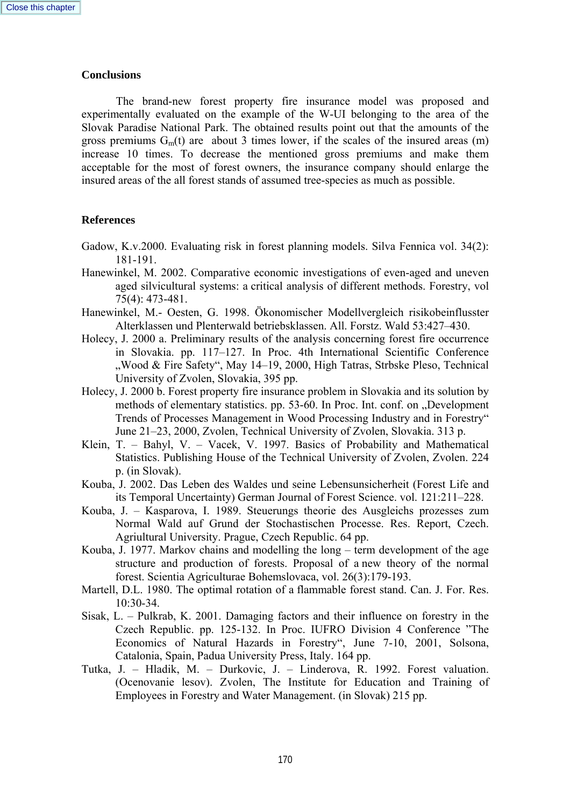## **Conclusions**

 The brand-new forest property fire insurance model was proposed and experimentally evaluated on the example of the W-UI belonging to the area of the Slovak Paradise National Park. The obtained results point out that the amounts of the gross premiums  $G_m(t)$  are about 3 times lower, if the scales of the insured areas (m) increase 10 times. To decrease the mentioned gross premiums and make them acceptable for the most of forest owners, the insurance company should enlarge the insured areas of the all forest stands of assumed tree-species as much as possible.

## **References**

- Gadow, K.v.2000. Evaluating risk in forest planning models. Silva Fennica vol. 34(2): 181-191.
- Hanewinkel, M. 2002. Comparative economic investigations of even-aged and uneven aged silvicultural systems: a critical analysis of different methods. Forestry, vol 75(4): 473-481.
- Hanewinkel, M.- Oesten, G. 1998. Ökonomischer Modellvergleich risikobeinflusster Alterklassen und Plenterwald betriebsklassen. All. Forstz. Wald 53:427–430.
- Holecy, J. 2000 a. Preliminary results of the analysis concerning forest fire occurrence in Slovakia. pp. 117–127. In Proc. 4th International Scientific Conference "Wood & Fire Safety", May 14–19, 2000, High Tatras, Strbske Pleso, Technical University of Zvolen, Slovakia, 395 pp.
- Holecy, J. 2000 b. Forest property fire insurance problem in Slovakia and its solution by methods of elementary statistics. pp. 53-60. In Proc. Int. conf. on "Development Trends of Processes Management in Wood Processing Industry and in Forestry" June 21–23, 2000, Zvolen, Technical University of Zvolen, Slovakia. 313 p.
- Klein, T. Bahyl, V. Vacek, V. 1997. Basics of Probability and Mathematical Statistics. Publishing House of the Technical University of Zvolen, Zvolen. 224 p. (in Slovak).
- Kouba, J. 2002. Das Leben des Waldes und seine Lebensunsicherheit (Forest Life and its Temporal Uncertainty) German Journal of Forest Science. vol. 121:211–228.
- Kouba, J. Kasparova, I. 1989. Steuerungs theorie des Ausgleichs prozesses zum Normal Wald auf Grund der Stochastischen Processe. Res. Report, Czech. Agriultural University. Prague, Czech Republic. 64 pp.
- Kouba, J. 1977. Markov chains and modelling the long term development of the age structure and production of forests. Proposal of a new theory of the normal forest. Scientia Agriculturae Bohemslovaca, vol. 26(3):179-193.
- Martell, D.L. 1980. The optimal rotation of a flammable forest stand. Can. J. For. Res. 10:30-34.
- Sisak, L. Pulkrab, K. 2001. Damaging factors and their influence on forestry in the Czech Republic. pp. 125-132. In Proc. IUFRO Division 4 Conference "The Economics of Natural Hazards in Forestry", June 7-10, 2001, Solsona, Catalonia, Spain, Padua University Press, Italy. 164 pp.
- Tutka, J. Hladik, M. Durkovic, J. Linderova, R. 1992. Forest valuation. (Ocenovanie lesov). Zvolen, The Institute for Education and Training of Employees in Forestry and Water Management. (in Slovak) 215 pp.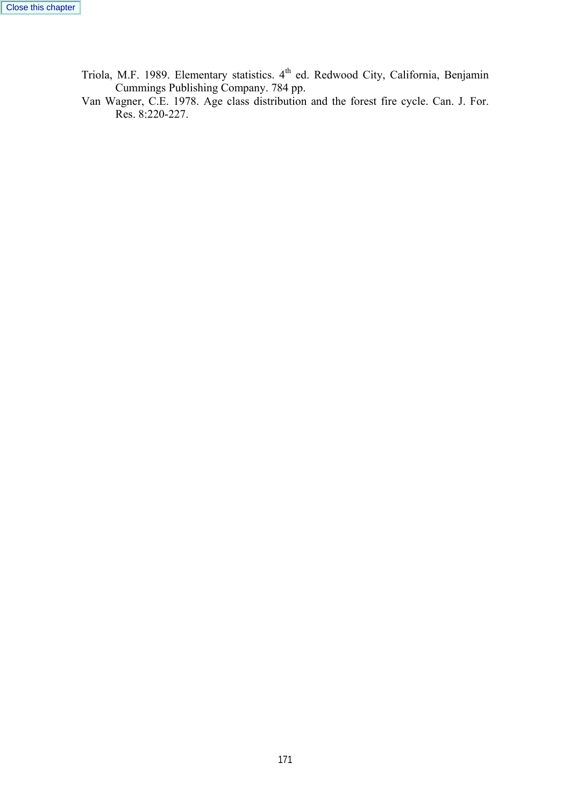Triola, M.F. 1989. Elementary statistics. 4<sup>th</sup> ed. Redwood City, California, Benjamin Cummings Publishing Company. 784 pp.

Van Wagner, C.E. 1978. Age class distribution and the forest fire cycle. Can. J. For. Res. 8:220-227.